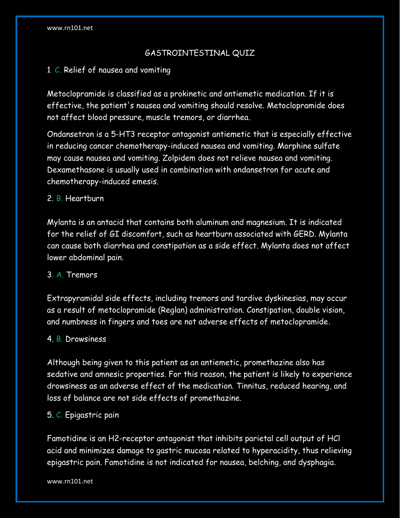# GASTROINTESTINAL QUIZ

# 1. C. Relief of nausea and vomiting

Metoclopramide is classified as a prokinetic and antiemetic medication. If it is effective, the patient's nausea and vomiting should resolve. Metoclopramide does not affect blood pressure, muscle tremors, or diarrhea.

Ondansetron is a 5-HT3 receptor antagonist antiemetic that is especially effective in reducing cancer chemotherapy-induced nausea and vomiting. Morphine sulfate may cause nausea and vomiting. Zolpidem does not relieve nausea and vomiting. Dexamethasone is usually used in combination with ondansetron for acute and chemotherapy-induced emesis.

### 2. B. Heartburn

Mylanta is an antacid that contains both aluminum and magnesium. It is indicated for the relief of GI discomfort, such as heartburn associated with GERD. Mylanta can cause both diarrhea and constipation as a side effect. Mylanta does not affect lower abdominal pain.

### 3. A. Tremors

Extrapyramidal side effects, including tremors and tardive dyskinesias, may occur as a result of metoclopramide (Reglan) administration. Constipation, double vision, and numbness in fingers and toes are not adverse effects of metoclopramide.

### 4. B. Drowsiness

Although being given to this patient as an antiemetic, promethazine also has sedative and amnesic properties. For this reason, the patient is likely to experience drowsiness as an adverse effect of the medication. Tinnitus, reduced hearing, and loss of balance are not side effects of promethazine.

### 5. C. Epigastric pain

Famotidine is an H2-receptor antagonist that inhibits parietal cell output of HCl acid and minimizes damage to gastric mucosa related to hyperacidity, thus relieving epigastric pain. Famotidine is not indicated for nausea, belching, and dysphagia.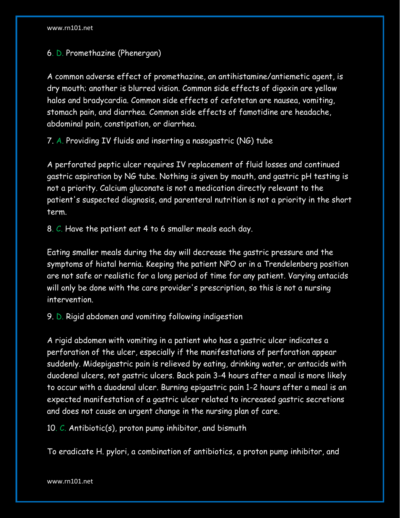6. D. Promethazine (Phenergan)

A common adverse effect of promethazine, an antihistamine/antiemetic agent, is dry mouth; another is blurred vision. Common side effects of digoxin are yellow halos and bradycardia. Common side effects of cefotetan are nausea, vomiting, stomach pain, and diarrhea. Common side effects of famotidine are headache, abdominal pain, constipation, or diarrhea.

7. A. Providing IV fluids and inserting a nasogastric (NG) tube

A perforated peptic ulcer requires IV replacement of fluid losses and continued gastric aspiration by NG tube. Nothing is given by mouth, and gastric pH testing is not a priority. Calcium gluconate is not a medication directly relevant to the patient's suspected diagnosis, and parenteral nutrition is not a priority in the short term.

8. C. Have the patient eat 4 to 6 smaller meals each day.

Eating smaller meals during the day will decrease the gastric pressure and the symptoms of hiatal hernia. Keeping the patient NPO or in a Trendelenberg position are not safe or realistic for a long period of time for any patient. Varying antacids will only be done with the care provider's prescription, so this is not a nursing intervention.

9. D. Rigid abdomen and vomiting following indigestion

A rigid abdomen with vomiting in a patient who has a gastric ulcer indicates a perforation of the ulcer, especially if the manifestations of perforation appear suddenly. Midepigastric pain is relieved by eating, drinking water, or antacids with duodenal ulcers, not gastric ulcers. Back pain 3-4 hours after a meal is more likely to occur with a duodenal ulcer. Burning epigastric pain 1-2 hours after a meal is an expected manifestation of a gastric ulcer related to increased gastric secretions and does not cause an urgent change in the nursing plan of care.

10. C. Antibiotic(s), proton pump inhibitor, and bismuth

To eradicate H. pylori, a combination of antibiotics, a proton pump inhibitor, and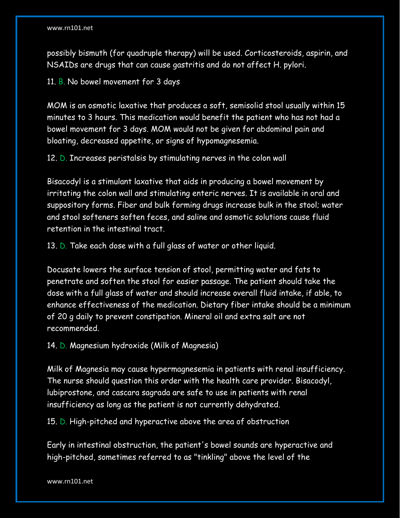possibly bismuth (for quadruple therapy) will be used. Corticosteroids, aspirin, and NSAIDs are drugs that can cause gastritis and do not affect H. pylori.

11. B. No bowel movement for 3 days

MOM is an osmotic laxative that produces a soft, semisolid stool usually within 15 minutes to 3 hours. This medication would benefit the patient who has not had a bowel movement for 3 days. MOM would not be given for abdominal pain and bloating, decreased appetite, or signs of hypomagnesemia.

12. D. Increases peristalsis by stimulating nerves in the colon wall

Bisacodyl is a stimulant laxative that aids in producing a bowel movement by irritating the colon wall and stimulating enteric nerves. It is available in oral and suppository forms. Fiber and bulk forming drugs increase bulk in the stool; water and stool softeners soften feces, and saline and osmotic solutions cause fluid retention in the intestinal tract.

13. D. Take each dose with a full glass of water or other liquid.

Docusate lowers the surface tension of stool, permitting water and fats to penetrate and soften the stool for easier passage. The patient should take the dose with a full glass of water and should increase overall fluid intake, if able, to enhance effectiveness of the medication. Dietary fiber intake should be a minimum of 20 g daily to prevent constipation. Mineral oil and extra salt are not recommended.

14. D. Magnesium hydroxide (Milk of Magnesia)

Milk of Magnesia may cause hypermagnesemia in patients with renal insufficiency. The nurse should question this order with the health care provider. Bisacodyl, lubiprostone, and cascara sagrada are safe to use in patients with renal insufficiency as long as the patient is not currently dehydrated.

15. D. High-pitched and hyperactive above the area of obstruction

Early in intestinal obstruction, the patient's bowel sounds are hyperactive and high-pitched, sometimes referred to as "tinkling" above the level of the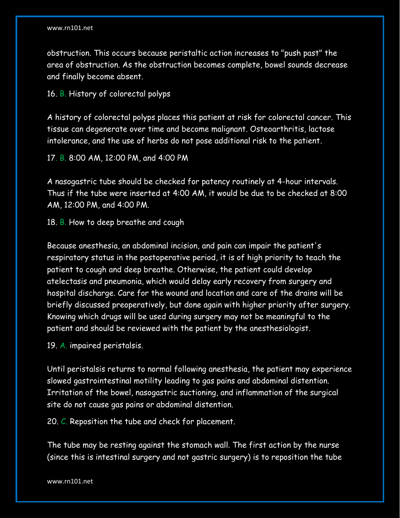obstruction. This occurs because peristaltic action increases to "push past" the area of obstruction. As the obstruction becomes complete, bowel sounds decrease and finally become absent.

16. B. History of colorectal polyps

A history of colorectal polyps places this patient at risk for colorectal cancer. This tissue can degenerate over time and become malignant. Osteoarthritis, lactose intolerance, and the use of herbs do not pose additional risk to the patient.

17. B. 8:00 AM, 12:00 PM, and 4:00 PM

A nasogastric tube should be checked for patency routinely at 4-hour intervals. Thus if the tube were inserted at 4:00 AM, it would be due to be checked at 8:00 AM, 12:00 PM, and 4:00 PM.

18. B. How to deep breathe and cough

Because anesthesia, an abdominal incision, and pain can impair the patient's respiratory status in the postoperative period, it is of high priority to teach the patient to cough and deep breathe. Otherwise, the patient could develop atelectasis and pneumonia, which would delay early recovery from surgery and hospital discharge. Care for the wound and location and care of the drains will be briefly discussed preoperatively, but done again with higher priority after surgery. Knowing which drugs will be used during surgery may not be meaningful to the patient and should be reviewed with the patient by the anesthesiologist.

19. A. impaired peristalsis.

Until peristalsis returns to normal following anesthesia, the patient may experience slowed gastrointestinal motility leading to gas pains and abdominal distention. Irritation of the bowel, nasogastric suctioning, and inflammation of the surgical site do not cause gas pains or abdominal distention.

20. C. Reposition the tube and check for placement.

The tube may be resting against the stomach wall. The first action by the nurse (since this is intestinal surgery and not gastric surgery) is to reposition the tube